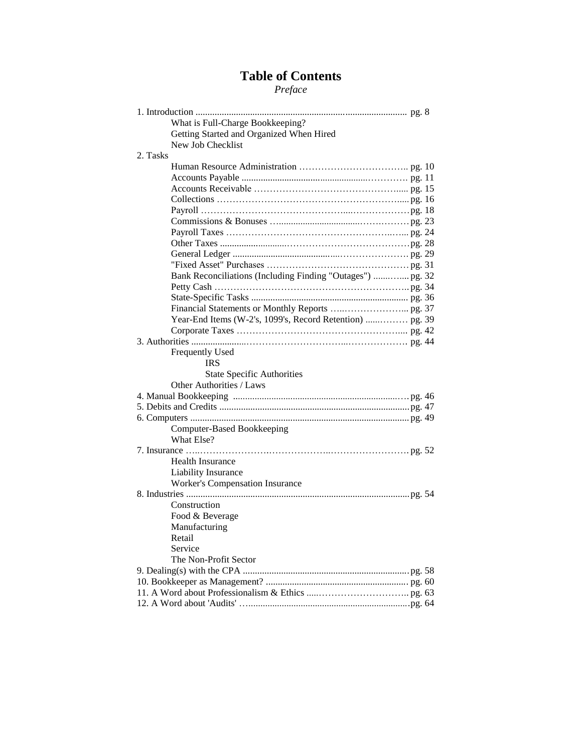# **Table of Contents**

*Preface*

| What is Full-Charge Bookkeeping?                           |  |
|------------------------------------------------------------|--|
| Getting Started and Organized When Hired                   |  |
| New Job Checklist                                          |  |
| 2. Tasks                                                   |  |
|                                                            |  |
|                                                            |  |
|                                                            |  |
|                                                            |  |
|                                                            |  |
|                                                            |  |
|                                                            |  |
|                                                            |  |
|                                                            |  |
|                                                            |  |
| Bank Reconciliations (Including Finding "Outages")  pg. 32 |  |
|                                                            |  |
|                                                            |  |
|                                                            |  |
|                                                            |  |
|                                                            |  |
|                                                            |  |
| Frequently Used                                            |  |
| <b>IRS</b>                                                 |  |
| <b>State Specific Authorities</b>                          |  |
| Other Authorities / Laws                                   |  |
|                                                            |  |
|                                                            |  |
|                                                            |  |
|                                                            |  |
| Computer-Based Bookkeeping                                 |  |
| What Else?                                                 |  |
|                                                            |  |
| Health Insurance                                           |  |
| Liability Insurance                                        |  |
| <b>Worker's Compensation Insurance</b>                     |  |
|                                                            |  |
| Construction                                               |  |
| Food & Beverage                                            |  |
| Manufacturing                                              |  |
| Retail                                                     |  |
| Service                                                    |  |
| The Non-Profit Sector                                      |  |
|                                                            |  |
|                                                            |  |
|                                                            |  |
|                                                            |  |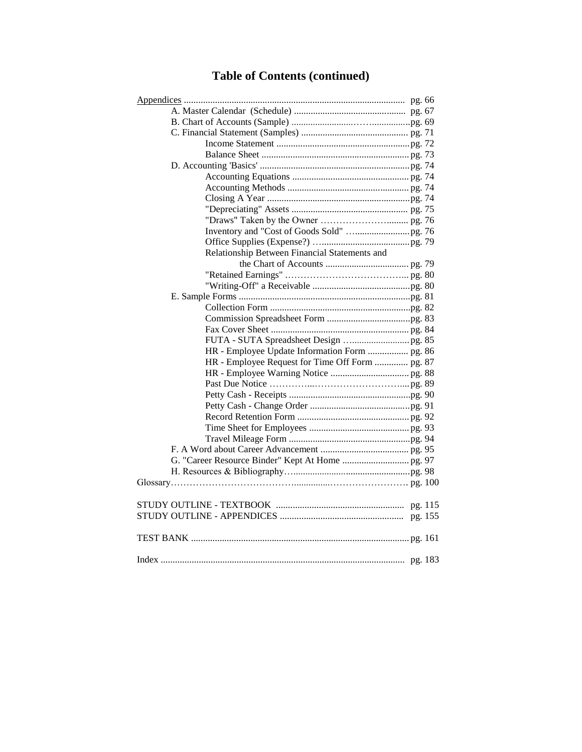# **Table of Contents (continued)**

| Relationship Between Financial Statements and   |
|-------------------------------------------------|
|                                                 |
|                                                 |
|                                                 |
|                                                 |
|                                                 |
|                                                 |
|                                                 |
|                                                 |
| HR - Employee Update Information Form  pg. 86   |
| HR - Employee Request for Time Off Form  pg. 87 |
|                                                 |
|                                                 |
|                                                 |
|                                                 |
|                                                 |
|                                                 |
|                                                 |
|                                                 |
|                                                 |
|                                                 |
|                                                 |
|                                                 |
|                                                 |
|                                                 |
|                                                 |
|                                                 |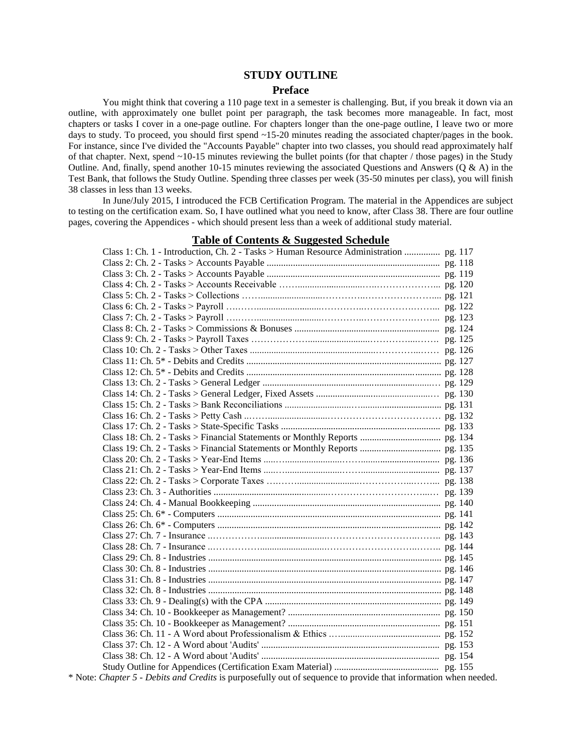### **STUDY OUTLINE**

#### **Preface**

You might think that covering a 110 page text in a semester is challenging. But, if you break it down via an outline, with approximately one bullet point per paragraph, the task becomes more manageable. In fact, most chapters or tasks I cover in a one-page outline. For chapters longer than the one-page outline, I leave two or more days to study. To proceed, you should first spend ~15-20 minutes reading the associated chapter/pages in the book. For instance, since I've divided the "Accounts Payable" chapter into two classes, you should read approximately half of that chapter. Next, spend ~10-15 minutes reviewing the bullet points (for that chapter / those pages) in the Study Outline. And, finally, spend another 10-15 minutes reviewing the associated Questions and Answers ( $Q & A$ ) in the Test Bank, that follows the Study Outline. Spending three classes per week (35-50 minutes per class), you will finish 38 classes in less than 13 weeks.

In June/July 2015, I introduced the FCB Certification Program. The material in the Appendices are subject to testing on the certification exam. So, I have outlined what you need to know, after Class 38. There are four outline pages, covering the Appendices - which should present less than a week of additional study material.

### Class 1: Ch. 1 - Introduction, Ch. 2 - Tasks > Human Resource Administration ............... pg. 117 Class 2: Ch. 2 - Tasks > Accounts Payable ......................................................................... pg. 118 Class 3: Ch. 2 - Tasks > Accounts Payable ......................................................................... pg. 119 Class 4: Ch. 2 - Tasks > Accounts Receivable ……...........................…..………………... pg. 120 Class 5: Ch. 2 - Tasks > Collections ……..........................…………..………………….... pg. 121 Class 6: Ch. 2 - Tasks > Payroll ….……...........................…………..…………….……... pg. 122 Class 7: Ch. 2 - Tasks > Payroll ….……...........................…………..…………….……... pg. 123 Class 8: Ch. 2 - Tasks > Commissions & Bonuses ............................................................. pg. 124 Class 9: Ch. 2 - Tasks > Payroll Taxes ………………..........................…………....……. pg. 125 Class 10: Ch. 2 - Tasks > Other Taxes .....................................................…………...…… pg. 126 Class 11: Ch. 5\* - Debits and Credits .................................................................................. pg. 127 Class 12: Ch. 5\* - Debits and Credits .................................................................................. pg. 128 Class 13: Ch. 2 - Tasks > General Ledger .......................................................................… pg. 129 Class 14: Ch. 2 - Tasks > General Ledger, Fixed Assets ................................................… pg. 130 Class 15: Ch. 2 - Tasks > Bank Reconciliations ............................….................................. pg. 131 Class 16: Ch. 2 - Tasks > Petty Cash ..…….........................……………………………… pg. 132 Class 17: Ch. 2 - Tasks > State-Specific Tasks ................................................................... pg. 133 Class 18: Ch. 2 - Tasks > Financial Statements or Monthly Reports .................................. pg. 134 Class 19: Ch. 2 - Tasks > Financial Statements or Monthly Reports .................................. pg. 135 Class 20: Ch. 2 - Tasks > Year-End Items .....…........................……................................. pg. 136 Class 21: Ch. 2 - Tasks > Year-End Items .....…........................……................................. pg. 137 Class 22: Ch. 2 - Tasks > Corporate Taxes ….……..........................……………...……... pg. 138 Class 23: Ch. 3 - Authorities ................................................…………………………...… pg. 139 Class 24: Ch. 4 - Manual Bookkeeping ............................................................................... pg. 140 Class 25: Ch. 6\* - Computers .............................................................................................. pg. 141 Class 26: Ch. 6\* - Computers .............................................................................................. pg. 142 Class 27: Ch. 7 - Insurance ..……………............................………………………..…….. pg. 143 Class 28: Ch. 7 - Insurance ..……………............................………………………..…….. pg. 144 Class 29: Ch. 8 - Industries .................................................................................................. pg. 145 Class 30: Ch. 8 - Industries .................................................................................................. pg. 146 Class 31: Ch. 8 - Industries .................................................................................................. pg. 147 Class 32: Ch. 8 - Industries .................................................................................................. pg. 148 Class 33: Ch. 9 - Dealing(s) with the CPA .......................................................................... pg. 149 Class 34: Ch. 10 - Bookkeeper as Management? ................................................................ pg. 150 Class 35: Ch. 10 - Bookkeeper as Management? ................................................................ pg. 151 Class 36: Ch. 11 - A Word about Professionalism & Ethics .….......................................... pg. 152 Class 37: Ch. 12 - A Word about 'Audits' ........................................................................... pg. 153 Class 38: Ch. 12 - A Word about 'Audits' ........................................................................... pg. 154 Study Outline for Appendices (Certification Exam Material) ............................................ pg. 155

#### **Table of Contents & Suggested Schedule**

\* Note: *Chapter 5 - Debits and Credits* is purposefully out of sequence to provide that information when needed.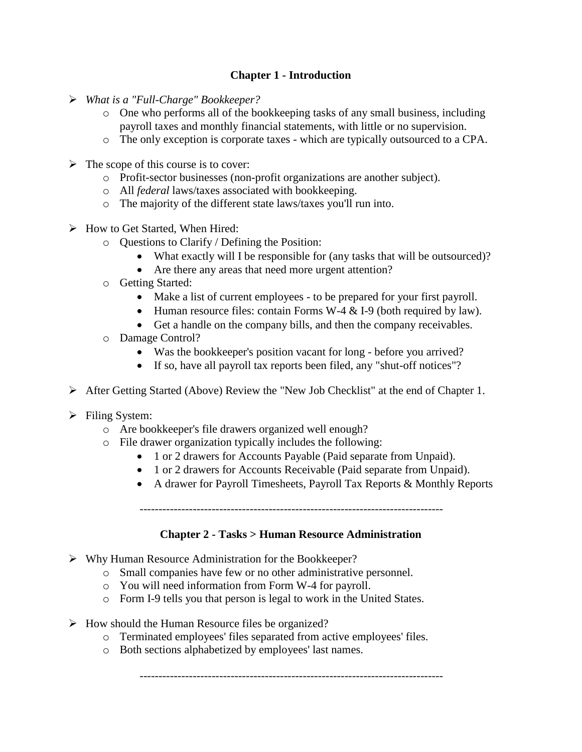# **Chapter 1 - Introduction**

- *What is a "Full-Charge" Bookkeeper?*
	- $\circ$  One who performs all of the bookkeeping tasks of any small business, including payroll taxes and monthly financial statements, with little or no supervision.
	- o The only exception is corporate taxes which are typically outsourced to a CPA.
- $\triangleright$  The scope of this course is to cover:
	- o Profit-sector businesses (non-profit organizations are another subject).
	- o All *federal* laws/taxes associated with bookkeeping.
	- o The majority of the different state laws/taxes you'll run into.
- $\triangleright$  How to Get Started, When Hired:
	- o Questions to Clarify / Defining the Position:
		- What exactly will I be responsible for (any tasks that will be outsourced)?
		- Are there any areas that need more urgent attention?
	- o Getting Started:
		- Make a list of current employees to be prepared for your first payroll.
		- Human resource files: contain Forms W-4  $&$  I-9 (both required by law).
		- Get a handle on the company bills, and then the company receivables.
	- o Damage Control?
		- Was the bookkeeper's position vacant for long before you arrived?
		- If so, have all payroll tax reports been filed, any "shut-off notices"?
- After Getting Started (Above) Review the "New Job Checklist" at the end of Chapter 1.
- $\triangleright$  Filing System:
	- o Are bookkeeper's file drawers organized well enough?
	- o File drawer organization typically includes the following:
		- 1 or 2 drawers for Accounts Payable (Paid separate from Unpaid).
		- 1 or 2 drawers for Accounts Receivable (Paid separate from Unpaid).
		- A drawer for Payroll Timesheets, Payroll Tax Reports & Monthly Reports

--------------------------------------------------------------------------------

# **Chapter 2 - Tasks > Human Resource Administration**

- $\triangleright$  Why Human Resource Administration for the Bookkeeper?
	- o Small companies have few or no other administrative personnel.
	- o You will need information from Form W-4 for payroll.
	- o Form I-9 tells you that person is legal to work in the United States.
- $\triangleright$  How should the Human Resource files be organized?
	- o Terminated employees' files separated from active employees' files.
	- o Both sections alphabetized by employees' last names.

--------------------------------------------------------------------------------